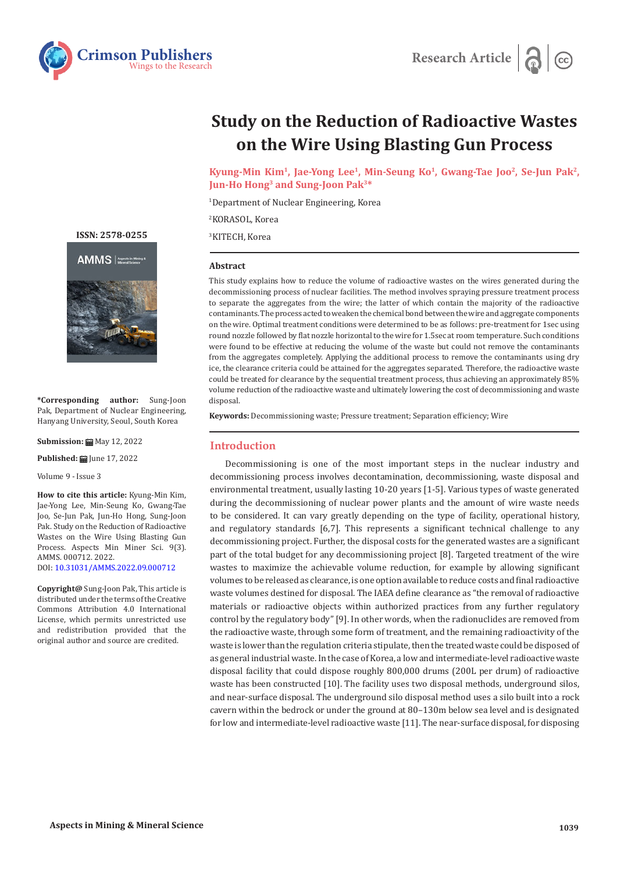



# **Study on the Reduction of Radioactive Wastes on the Wire Using Blasting Gun Process**

**Kyung-Min Kim1, Jae-Yong Lee1, Min-Seung Ko1, Gwang-Tae Joo2, Se-Jun Pak2, Jun-Ho Hong3 and Sung-Joon Pak3\*** 

1 Department of Nuclear Engineering, Korea

2 KORASOL, Korea

3 KITECH, Korea

### **Abstract**

This study explains how to reduce the volume of radioactive wastes on the wires generated during the decommissioning process of nuclear facilities. The method involves spraying pressure treatment process to separate the aggregates from the wire; the latter of which contain the majority of the radioactive contaminants. The process acted to weaken the chemical bond between the wire and aggregate components on the wire. Optimal treatment conditions were determined to be as follows: pre-treatment for 1sec using round nozzle followed by flat nozzle horizontal to the wire for 1.5sec at room temperature. Such conditions were found to be effective at reducing the volume of the waste but could not remove the contaminants from the aggregates completely. Applying the additional process to remove the contaminants using dry ice, the clearance criteria could be attained for the aggregates separated. Therefore, the radioactive waste could be treated for clearance by the sequential treatment process, thus achieving an approximately 85% volume reduction of the radioactive waste and ultimately lowering the cost of decommissioning and waste disposal.

**Keywords:** Decommissioning waste; Pressure treatment; Separation efficiency; Wire

#### **Introduction**

Decommissioning is one of the most important steps in the nuclear industry and decommissioning process involves decontamination, decommissioning, waste disposal and environmental treatment, usually lasting 10-20 years [1-5]. Various types of waste generated during the decommissioning of nuclear power plants and the amount of wire waste needs to be considered. It can vary greatly depending on the type of facility, operational history, and regulatory standards [6,7]. This represents a significant technical challenge to any decommissioning project. Further, the disposal costs for the generated wastes are a significant part of the total budget for any decommissioning project [8]. Targeted treatment of the wire wastes to maximize the achievable volume reduction, for example by allowing significant volumes to be released as clearance, is one option available to reduce costs and final radioactive waste volumes destined for disposal. The IAEA define clearance as "the removal of radioactive materials or radioactive objects within authorized practices from any further regulatory control by the regulatory body" [9]. In other words, when the radionuclides are removed from the radioactive waste, through some form of treatment, and the remaining radioactivity of the waste is lower than the regulation criteria stipulate, then the treated waste could be disposed of as general industrial waste. In the case of Korea, a low and intermediate-level radioactive waste disposal facility that could dispose roughly 800,000 drums (200L per drum) of radioactive waste has been constructed [10]. The facility uses two disposal methods, underground silos, and near-surface disposal. The underground silo disposal method uses a silo built into a rock cavern within the bedrock or under the ground at 80–130m below sea level and is designated for low and intermediate-level radioactive waste [11]. The near-surface disposal, for disposing

**[ISSN: 2578-0255](https://crimsonpublishers.com/amms/)**





**\*Corresponding author:** Sung-Joon Pak, Department of Nuclear Engineering, Hanyang University, Seoul, South Korea

**Submission: 曲** May 12, 2022

**Published: | June 17, 2022** 

Volume 9 - Issue 3

**How to cite this article:** Kyung-Min Kim, Jae-Yong Lee, Min-Seung Ko, Gwang-Tae Joo, Se-Jun Pak, Jun-Ho Hong, Sung-Joon Pak. Study on the Reduction of Radioactive Wastes on the Wire Using Blasting Gun Process. Aspects Min Miner Sci. 9(3). AMMS. 000712. 2022. DOI: [10.31031/AMMS.2022.09.000712](http://dx.doi.org/10.31031/AMMS.2022.09.000712)

**Copyright@** Sung-Joon Pak, This article is distributed under the terms of the Creative Commons Attribution 4.0 International License, which permits unrestricted use and redistribution provided that the original author and source are credited.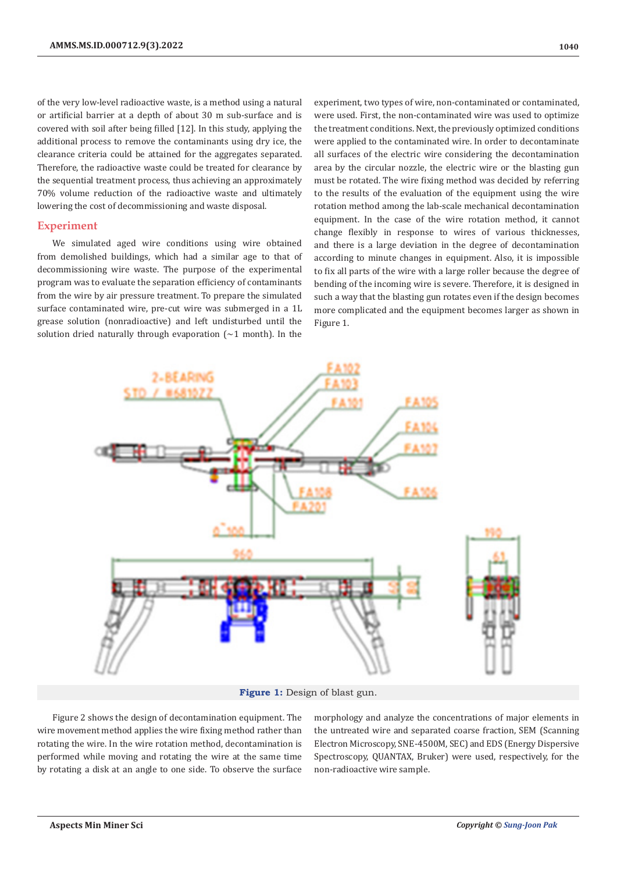of the very low-level radioactive waste, is a method using a natural or artificial barrier at a depth of about 30 m sub-surface and is covered with soil after being filled [12]. In this study, applying the additional process to remove the contaminants using dry ice, the clearance criteria could be attained for the aggregates separated. Therefore, the radioactive waste could be treated for clearance by the sequential treatment process, thus achieving an approximately 70% volume reduction of the radioactive waste and ultimately lowering the cost of decommissioning and waste disposal.

#### **Experiment**

We simulated aged wire conditions using wire obtained from demolished buildings, which had a similar age to that of decommissioning wire waste. The purpose of the experimental program was to evaluate the separation efficiency of contaminants from the wire by air pressure treatment. To prepare the simulated surface contaminated wire, pre-cut wire was submerged in a 1L grease solution (nonradioactive) and left undisturbed until the solution dried naturally through evaporation  $(\sim 1 \text{ month})$ . In the

experiment, two types of wire, non-contaminated or contaminated, were used. First, the non-contaminated wire was used to optimize the treatment conditions. Next, the previously optimized conditions were applied to the contaminated wire. In order to decontaminate all surfaces of the electric wire considering the decontamination area by the circular nozzle, the electric wire or the blasting gun must be rotated. The wire fixing method was decided by referring to the results of the evaluation of the equipment using the wire rotation method among the lab-scale mechanical decontamination equipment. In the case of the wire rotation method, it cannot change flexibly in response to wires of various thicknesses, and there is a large deviation in the degree of decontamination according to minute changes in equipment. Also, it is impossible to fix all parts of the wire with a large roller because the degree of bending of the incoming wire is severe. Therefore, it is designed in such a way that the blasting gun rotates even if the design becomes more complicated and the equipment becomes larger as shown in Figure 1.



**Figure 1:** Design of blast gun.

Figure 2 shows the design of decontamination equipment. The wire movement method applies the wire fixing method rather than rotating the wire. In the wire rotation method, decontamination is performed while moving and rotating the wire at the same time by rotating a disk at an angle to one side. To observe the surface

morphology and analyze the concentrations of major elements in the untreated wire and separated coarse fraction, SEM (Scanning Electron Microscopy, SNE-4500M, SEC) and EDS (Energy Dispersive Spectroscopy, QUANTAX, Bruker) were used, respectively, for the non-radioactive wire sample.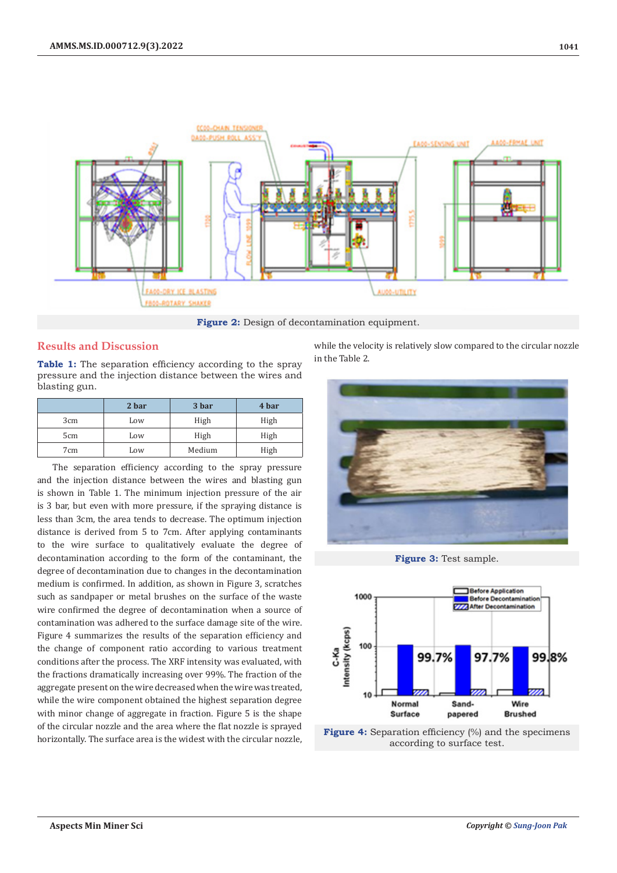

**Figure 2:** Design of decontamination equipment.

## **Results and Discussion**

**Table 1:** The separation efficiency according to the spray pressure and the injection distance between the wires and blasting gun.

|                 | 2 bar | 3 bar  | 4 bar |
|-----------------|-------|--------|-------|
| 3cm             | Low   | High   | High  |
| 5cm             | Low   | High   | High  |
| 7 <sub>cm</sub> | Low   | Medium | High  |

The separation efficiency according to the spray pressure and the injection distance between the wires and blasting gun is shown in Table 1. The minimum injection pressure of the air is 3 bar, but even with more pressure, if the spraying distance is less than 3cm, the area tends to decrease. The optimum injection distance is derived from 5 to 7cm. After applying contaminants to the wire surface to qualitatively evaluate the degree of decontamination according to the form of the contaminant, the degree of decontamination due to changes in the decontamination medium is confirmed. In addition, as shown in Figure 3, scratches such as sandpaper or metal brushes on the surface of the waste wire confirmed the degree of decontamination when a source of contamination was adhered to the surface damage site of the wire. Figure 4 summarizes the results of the separation efficiency and the change of component ratio according to various treatment conditions after the process. The XRF intensity was evaluated, with the fractions dramatically increasing over 99%. The fraction of the aggregate present on the wire decreased when the wire was treated, while the wire component obtained the highest separation degree with minor change of aggregate in fraction. Figure 5 is the shape of the circular nozzle and the area where the flat nozzle is sprayed horizontally. The surface area is the widest with the circular nozzle,

while the velocity is relatively slow compared to the circular nozzle in the Table 2.







**Figure 4:** Separation efficiency (%) and the specimens according to surface test.